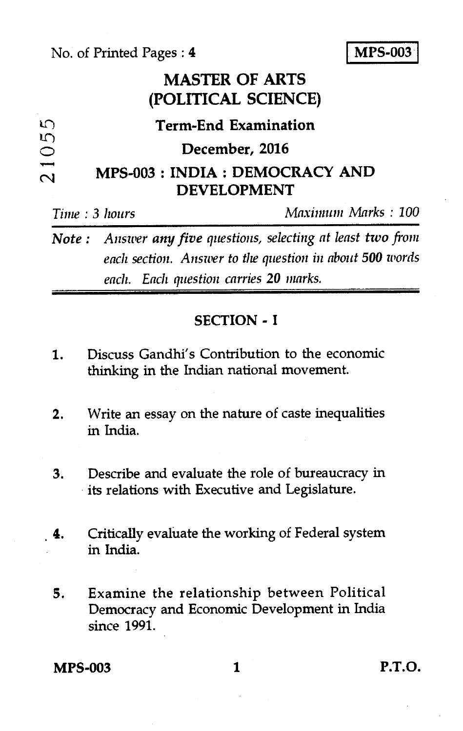No. of Printed Pages : **4 I MPS-003** 

## **MASTER OF ARTS (POLITICAL SCIENCE)**

| n                        | <b>Term-End Examination</b>     |
|--------------------------|---------------------------------|
| $\mathfrak{L}$<br>◯      | December, 2016                  |
| $\overline{\phantom{a}}$ | MPS-003 : INDIA : DEMOCRACY AND |
| $\sim$                   | <b>DEVELOPMENT</b>              |
|                          |                                 |

*Note : Answer any five questions, selecting at least two from each section. Answer to the question in about 500 words each. Each question carries 20 marks.* 

*Time : 3 hours Maximum Marks : 100* 

### **SECTION - I**

- 1. Discuss Gandhi's Contribution to the economic thinking in the Indian national movement.
- 2. Write an essay on the nature of caste inequalities in India.
- 3. Describe and evaluate the role of bureaucracy in its relations with Executive and Legislature.
- 4. Critically evaluate the working of Federal system in India.
- 5. Examine the relationship between Political Democracy and Economic Development in India since 1991.

**MPS-003 1 P.T.O.**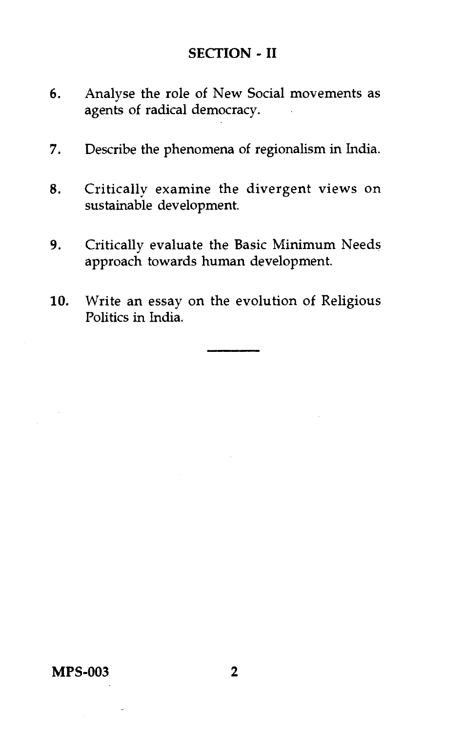### **SECTION - II**

- 6. Analyse the role of New Social movements as agents of radical democracy.
- 7. Describe the phenomena of regionalism in India.
- 8. Critically examine the divergent views on sustainable development.
- 9. Critically evaluate the Basic Minimum Needs approach towards human development.
- 10. Write an essay on the evolution of Religious Politics in India.

**MPS-003 2**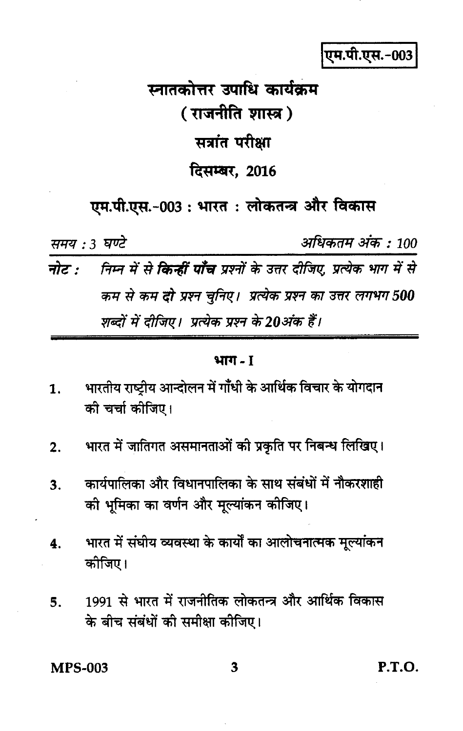एम.पी.एस.-003

# स्नातकोत्तर उपाधि कार्यक्रम (राजनीति शास्त्र) सत्रांत परीक्षा दिसम्बर, 2016

एम.पी.एस.-003 : भारत : लोकतन्त्र और विकास

समय : 3 घण्टे

अधिकतम अंक : 100

निम्न में से **किन्हीं पाँच** प्रश्नों के उत्तर दीजिए, प्रत्येक भाग में से नोट : कम से कम दो प्रश्न चुनिए। प्रत्येक प्रश्न का उत्तर लगभग 500 शब्दों में दीजिए। प्रत्येक प्रश्न के 20अंक हैं।

भाग - 1

- भारतीय राष्ट्रीय आन्दोलन में गाँधी के आर्थिक विचार के योगदान 1. की चर्चा कीजिए।
- भारत में जातिगत असमानताओं की प्रकृति पर निबन्ध लिखिए।  $2.$
- कार्यपालिका और विधानपालिका के साथ संबंधों में नौकरशाही  $\overline{\mathbf{3}}$ . की भूमिका का वर्णन और मूल्यांकन कोजिए।
- भारत में संघीय व्यवस्था के कार्यों का आलोचनात्मक मूल्यांकन  $\overline{\mathbf{4}}$ . कोजिए।
- 1991 से भारत में राजनीतिक लोकतन्त्र और आर्थिक विकास 5. के बीच संबंधों की समीक्षा कीजिए।

**MPS-003** 

P.T.O.